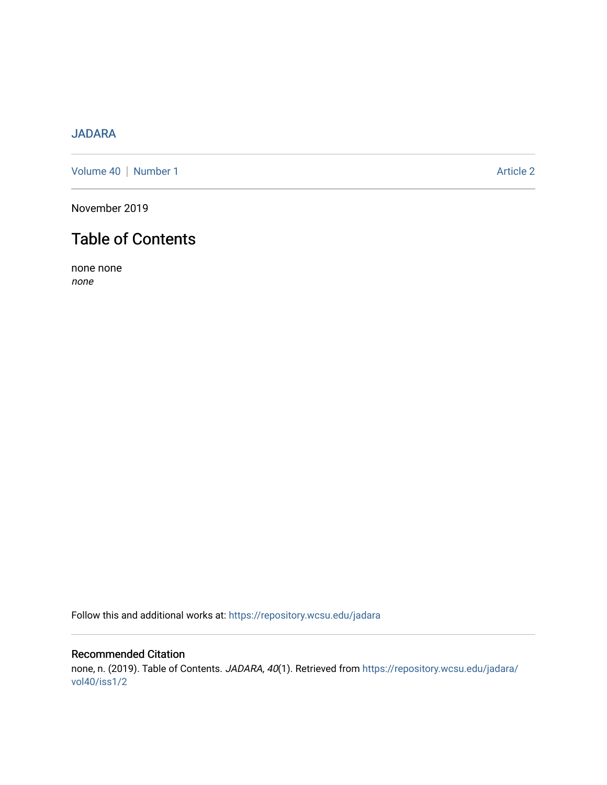## [JADARA](https://repository.wcsu.edu/jadara)

[Volume 40](https://repository.wcsu.edu/jadara/vol40) | [Number 1](https://repository.wcsu.edu/jadara/vol40/iss1) Article 2

November 2019

# Table of Contents

none none none

Follow this and additional works at: [https://repository.wcsu.edu/jadara](https://repository.wcsu.edu/jadara?utm_source=repository.wcsu.edu%2Fjadara%2Fvol40%2Fiss1%2F2&utm_medium=PDF&utm_campaign=PDFCoverPages)

### Recommended Citation none, n. (2019). Table of Contents. JADARA, 40(1). Retrieved from [https://repository.wcsu.edu/jadara/](https://repository.wcsu.edu/jadara/vol40/iss1/2?utm_source=repository.wcsu.edu%2Fjadara%2Fvol40%2Fiss1%2F2&utm_medium=PDF&utm_campaign=PDFCoverPages) [vol40/iss1/2](https://repository.wcsu.edu/jadara/vol40/iss1/2?utm_source=repository.wcsu.edu%2Fjadara%2Fvol40%2Fiss1%2F2&utm_medium=PDF&utm_campaign=PDFCoverPages)